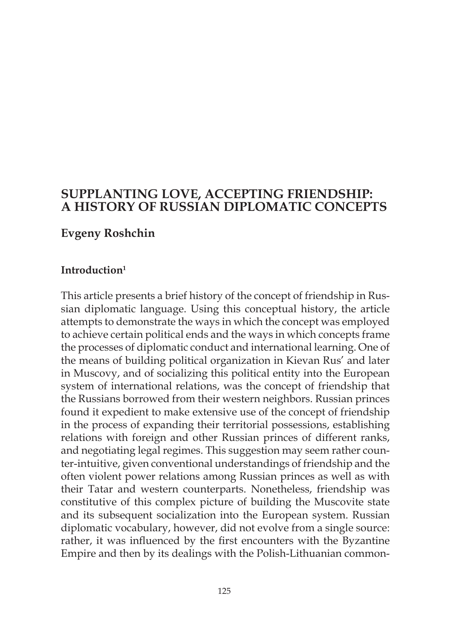# **SUPPLANTING LOVE, ACCEPTING FRIENDSHIP: A HISTORY OF RUSSIAN DIPLOMATIC CONCEPTS**

# **Evgeny Roshchin**

# **Introduction1**

This article presents a brief history of the concept of friendship in Russian diplomatic language. Using this conceptual history, the article attempts to demonstrate the ways in which the concept was employed to achieve certain political ends and the ways in which concepts frame the processes of diplomatic conduct and international learning. One of the means of building political organization in Kievan Rus' and later in Muscovy, and of socializing this political entity into the European system of international relations, was the concept of friendship that the Russians borrowed from their western neighbors. Russian princes found it expedient to make extensive use of the concept of friendship in the process of expanding their territorial possessions, establishing relations with foreign and other Russian princes of different ranks, and negotiating legal regimes. This suggestion may seem rather counter-intuitive, given conventional understandings of friendship and the often violent power relations among Russian princes as well as with their Tatar and western counterparts. Nonetheless, friendship was constitutive of this complex picture of building the Muscovite state and its subsequent socialization into the European system. Russian diplomatic vocabulary, however, did not evolve from a single source: rather, it was influenced by the first encounters with the Byzantine Empire and then by its dealings with the Polish-Lithuanian common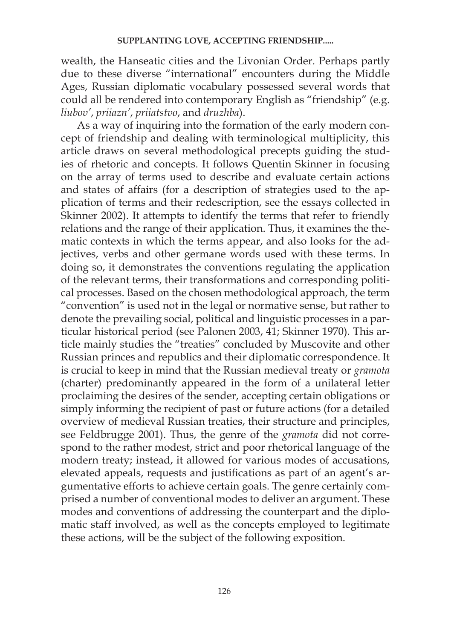wealth, the Hanseatic cities and the Livonian Order. Perhaps partly due to these diverse "international" encounters during the Middle Ages, Russian diplomatic vocabulary possessed several words that could all be rendered into contemporary English as "friendship" (e.g. *liubov'*, *priiazn'*, *priiatstvo*, and *druzhba*).

As a way of inquiring into the formation of the early modern concept of friendship and dealing with terminological multiplicity, this article draws on several methodological precepts guiding the studies of rhetoric and concepts. It follows Quentin Skinner in focusing on the array of terms used to describe and evaluate certain actions and states of affairs (for a description of strategies used to the application of terms and their redescription, see the essays collected in Skinner 2002). It attempts to identify the terms that refer to friendly relations and the range of their application. Thus, it examines the thematic contexts in which the terms appear, and also looks for the adjectives, verbs and other germane words used with these terms. In doing so, it demonstrates the conventions regulating the application of the relevant terms, their transformations and corresponding political processes. Based on the chosen methodological approach, the term "convention" is used not in the legal or normative sense, but rather to denote the prevailing social, political and linguistic processes in a particular historical period (see Palonen 2003, 41; Skinner 1970). This article mainly studies the "treaties" concluded by Muscovite and other Russian princes and republics and their diplomatic correspondence. It is crucial to keep in mind that the Russian medieval treaty or *gramota* (charter) predominantly appeared in the form of a unilateral letter proclaiming the desires of the sender, accepting certain obligations or simply informing the recipient of past or future actions (for a detailed overview of medieval Russian treaties, their structure and principles, see Feldbrugge 2001). Thus, the genre of the *gramota* did not correspond to the rather modest, strict and poor rhetorical language of the modern treaty; instead, it allowed for various modes of accusations, elevated appeals, requests and justifications as part of an agent's argumentative efforts to achieve certain goals. The genre certainly comprised a number of conventional modes to deliver an argument. These modes and conventions of addressing the counterpart and the diplomatic staff involved, as well as the concepts employed to legitimate these actions, will be the subject of the following exposition.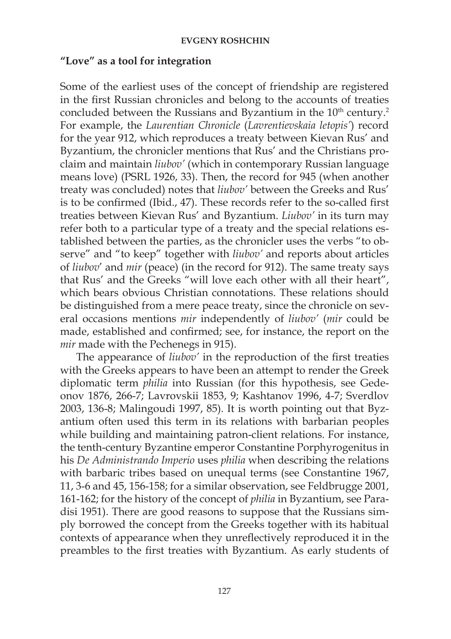## **"Love" as a tool for integration**

Some of the earliest uses of the concept of friendship are registered in the first Russian chronicles and belong to the accounts of treaties concluded between the Russians and Byzantium in the 10<sup>th</sup> century.<sup>2</sup> For example, the *Laurentian Chronicle* (*Lavrentievskaia letopis'*) record for the year 912, which reproduces a treaty between Kievan Rus' and Byzantium, the chronicler mentions that Rus' and the Christians proclaim and maintain *liubov'* (which in contemporary Russian language means love) (PSRL 1926, 33). Then, the record for 945 (when another treaty was concluded) notes that *liubov'* between the Greeks and Rus' is to be confirmed (Ibid., 47). These records refer to the so-called first treaties between Kievan Rus' and Byzantium. *Liubov'* in its turn may refer both to a particular type of a treaty and the special relations established between the parties, as the chronicler uses the verbs "to observe" and "to keep" together with *liubov'* and reports about articles of *liubov*' and *mir* (peace) (in the record for 912). The same treaty says that Rus' and the Greeks "will love each other with all their heart", which bears obvious Christian connotations. These relations should be distinguished from a mere peace treaty, since the chronicle on several occasions mentions *mir* independently of *liubov'* (*mir* could be made, established and confirmed; see, for instance, the report on the *mir* made with the Pechenegs in 915).

The appearance of *liubov'* in the reproduction of the first treaties with the Greeks appears to have been an attempt to render the Greek diplomatic term *philia* into Russian (for this hypothesis, see Gedeonov 1876, 266-7; Lavrovskii 1853, 9; Kashtanov 1996, 4-7; Sverdlov 2003, 136-8; Malingoudi 1997, 85). It is worth pointing out that Byzantium often used this term in its relations with barbarian peoples while building and maintaining patron-client relations. For instance, the tenth-century Byzantine emperor Constantine Porphyrogenitus in his *De Administrando Imperio* uses *philia* when describing the relations with barbaric tribes based on unequal terms (see Constantine 1967, 11, 3-6 and 45, 156-158; for a similar observation, see Feldbrugge 2001, 161-162; for the history of the concept of *philia* in Byzantium, see Paradisi 1951). There are good reasons to suppose that the Russians simply borrowed the concept from the Greeks together with its habitual contexts of appearance when they unreflectively reproduced it in the preambles to the first treaties with Byzantium. As early students of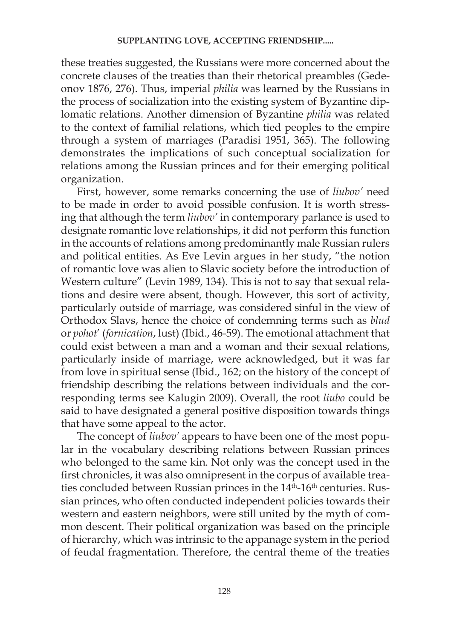these treaties suggested, the Russians were more concerned about the concrete clauses of the treaties than their rhetorical preambles (Gedeonov 1876, 276). Thus, imperial *philia* was learned by the Russians in the process of socialization into the existing system of Byzantine diplomatic relations. Another dimension of Byzantine *philia* was related to the context of familial relations, which tied peoples to the empire through a system of marriages (Paradisi 1951, 365). The following demonstrates the implications of such conceptual socialization for relations among the Russian princes and for their emerging political organization.

First, however, some remarks concerning the use of *liubov'* need to be made in order to avoid possible confusion. It is worth stressing that although the term *liubov'* in contemporary parlance is used to designate romantic love relationships, it did not perform this function in the accounts of relations among predominantly male Russian rulers and political entities. As Eve Levin argues in her study, "the notion of romantic love was alien to Slavic society before the introduction of Western culture" (Levin 1989, 134). This is not to say that sexual relations and desire were absent, though. However, this sort of activity, particularly outside of marriage, was considered sinful in the view of Orthodox Slavs, hence the choice of condemning terms such as *blud* or *pohot*' (*fornication*, lust) (Ibid., 46-59). The emotional attachment that could exist between a man and a woman and their sexual relations, particularly inside of marriage, were acknowledged, but it was far from love in spiritual sense (Ibid., 162; on the history of the concept of friendship describing the relations between individuals and the corresponding terms see Kalugin 2009). Overall, the root *liubo* could be said to have designated a general positive disposition towards things that have some appeal to the actor.

The concept of *liubov'* appears to have been one of the most popular in the vocabulary describing relations between Russian princes who belonged to the same kin. Not only was the concept used in the first chronicles, it was also omnipresent in the corpus of available treaties concluded between Russian princes in the 14<sup>th</sup>-16<sup>th</sup> centuries. Russian princes, who often conducted independent policies towards their western and eastern neighbors, were still united by the myth of common descent. Their political organization was based on the principle of hierarchy, which was intrinsic to the appanage system in the period of feudal fragmentation. Therefore, the central theme of the treaties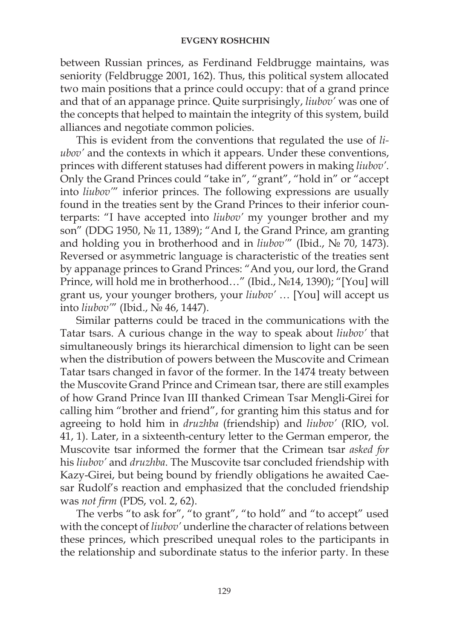between Russian princes, as Ferdinand Feldbrugge maintains, was seniority (Feldbrugge 2001, 162). Thus, this political system allocated two main positions that a prince could occupy: that of a grand prince and that of an appanage prince. Quite surprisingly, *liubov'* was one of the concepts that helped to maintain the integrity of this system, build alliances and negotiate common policies.

This is evident from the conventions that regulated the use of *liubov'* and the contexts in which it appears. Under these conventions, princes with different statuses had different powers in making *liubov'*. Only the Grand Princes could "take in", "grant", "hold in" or "accept into *liubov'*" inferior princes. The following expressions are usually found in the treaties sent by the Grand Princes to their inferior counterparts: "I have accepted into *liubov'* my younger brother and my son" (DDG 1950, № 11, 1389); "And I, the Grand Prince, am granting and holding you in brotherhood and in *liubov'*" (Ibid., № 70, 1473). Reversed or asymmetric language is characteristic of the treaties sent by appanage princes to Grand Princes: "And you, our lord, the Grand Prince, will hold me in brotherhood…" (Ibid., №14, 1390); "[You] will grant us, your younger brothers, your *liubov'* … [You] will accept us into *liubov'*" (Ibid., № 46, 1447).

Similar patterns could be traced in the communications with the Tatar tsars. A curious change in the way to speak about *liubov'* that simultaneously brings its hierarchical dimension to light can be seen when the distribution of powers between the Muscovite and Crimean Tatar tsars changed in favor of the former. In the 1474 treaty between the Muscovite Grand Prince and Crimean tsar, there are still examples of how Grand Prince Ivan III thanked Crimean Tsar Mengli-Girei for calling him "brother and friend", for granting him this status and for agreeing to hold him in *druzhba* (friendship) and *liubov'* (RIO, vol. 41, 1). Later, in a sixteenth-century letter to the German emperor, the Muscovite tsar informed the former that the Crimean tsar *asked for*  his *liubov'* and *druzhba*. The Muscovite tsar concluded friendship with Kazy-Girei, but being bound by friendly obligations he awaited Caesar Rudolf's reaction and emphasized that the concluded friendship was *not firm* (PDS, vol. 2, 62).

The verbs "to ask for", "to grant", "to hold" and "to accept" used with the concept of *liubov'* underline the character of relations between these princes, which prescribed unequal roles to the participants in the relationship and subordinate status to the inferior party. In these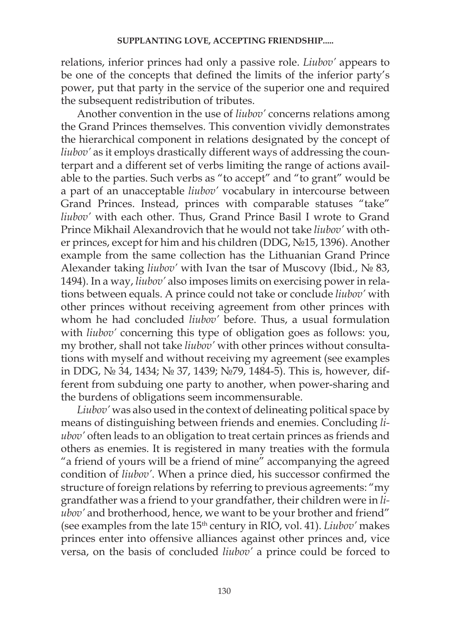relations, inferior princes had only a passive role. *Liubov'* appears to be one of the concepts that defined the limits of the inferior party's power, put that party in the service of the superior one and required the subsequent redistribution of tributes.

Another convention in the use of *liubov'* concerns relations among the Grand Princes themselves. This convention vividly demonstrates the hierarchical component in relations designated by the concept of *liubov'* as it employs drastically different ways of addressing the counterpart and a different set of verbs limiting the range of actions available to the parties. Such verbs as "to accept" and "to grant" would be a part of an unacceptable *liubov'* vocabulary in intercourse between Grand Princes. Instead, princes with comparable statuses "take" *liubov'* with each other. Thus, Grand Prince Basil I wrote to Grand Prince Mikhail Alexandrovich that he would not take *liubov'* with other princes, except for him and his children (DDG, №15, 1396). Another example from the same collection has the Lithuanian Grand Prince Alexander taking *liubov'* with Ivan the tsar of Muscovy (Ibid., № 83, 1494). In a way, *liubov'* also imposes limits on exercising power in relations between equals. A prince could not take or conclude *liubov'* with other princes without receiving agreement from other princes with whom he had concluded *liubov'* before. Thus, a usual formulation with *liubov'* concerning this type of obligation goes as follows: you, my brother, shall not take *liubov'* with other princes without consultations with myself and without receiving my agreement (see examples in DDG, № 34, 1434; № 37, 1439; №79, 1484-5). This is, however, different from subduing one party to another, when power-sharing and the burdens of obligations seem incommensurable.

*Liubov'* was also used in the context of delineating political space by means of distinguishing between friends and enemies. Concluding *liubov'* often leads to an obligation to treat certain princes as friends and others as enemies. It is registered in many treaties with the formula "a friend of yours will be a friend of mine" accompanying the agreed condition of *liubov'*. When a prince died, his successor confirmed the structure of foreign relations by referring to previous agreements: "my grandfather was a friend to your grandfather, their children were in *liubov'* and brotherhood, hence, we want to be your brother and friend" (see examples from the late 15th century in RIO, vol. 41). *Liubov'* makes princes enter into offensive alliances against other princes and, vice versa, on the basis of concluded *liubov'* a prince could be forced to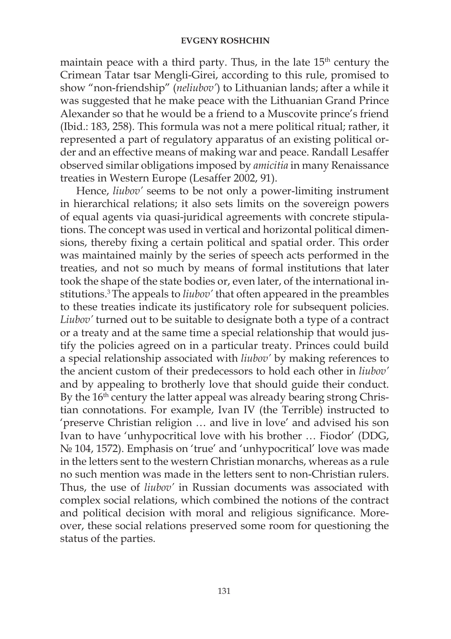maintain peace with a third party. Thus, in the late 15<sup>th</sup> century the Crimean Tatar tsar Mengli-Girei, according to this rule, promised to show "non-friendship" (*neliubov'*) to Lithuanian lands; after a while it was suggested that he make peace with the Lithuanian Grand Prince Alexander so that he would be a friend to a Muscovite prince's friend (Ibid.: 183, 258). This formula was not a mere political ritual; rather, it represented a part of regulatory apparatus of an existing political order and an effective means of making war and peace. Randall Lesaffer observed similar obligations imposed by *amicitia* in many Renaissance treaties in Western Europe (Lesaffer 2002, 91).

Hence, *liubov'* seems to be not only a power-limiting instrument in hierarchical relations; it also sets limits on the sovereign powers of equal agents via quasi-juridical agreements with concrete stipulations. The concept was used in vertical and horizontal political dimensions, thereby fixing a certain political and spatial order. This order was maintained mainly by the series of speech acts performed in the treaties, and not so much by means of formal institutions that later took the shape of the state bodies or, even later, of the international institutions.3 The appeals to *liubov'* that often appeared in the preambles to these treaties indicate its justificatory role for subsequent policies. *Liubov'* turned out to be suitable to designate both a type of a contract or a treaty and at the same time a special relationship that would justify the policies agreed on in a particular treaty. Princes could build a special relationship associated with *liubov'* by making references to the ancient custom of their predecessors to hold each other in *liubov'*  and by appealing to brotherly love that should guide their conduct. By the 16<sup>th</sup> century the latter appeal was already bearing strong Christian connotations. For example, Ivan IV (the Terrible) instructed to 'preserve Christian religion … and live in love' and advised his son Ivan to have 'unhypocritical love with his brother … Fiodor' (DDG, № 104, 1572). Emphasis on 'true' and 'unhypocritical' love was made in the letters sent to the western Christian monarchs, whereas as a rule no such mention was made in the letters sent to non-Christian rulers. Thus, the use of *liubov'* in Russian documents was associated with complex social relations, which combined the notions of the contract and political decision with moral and religious significance. Moreover, these social relations preserved some room for questioning the status of the parties.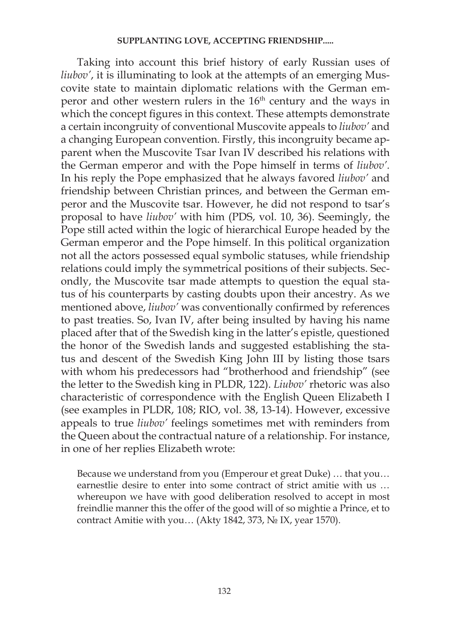#### **SUPPLANTING LOVE, ACCEPTING FRIENDSHIP.....**

Taking into account this brief history of early Russian uses of *liubov'*, it is illuminating to look at the attempts of an emerging Muscovite state to maintain diplomatic relations with the German emperor and other western rulers in the 16<sup>th</sup> century and the ways in which the concept figures in this context. These attempts demonstrate a certain incongruity of conventional Muscovite appeals to *liubov'* and a changing European convention. Firstly, this incongruity became apparent when the Muscovite Tsar Ivan IV described his relations with the German emperor and with the Pope himself in terms of *liubov'.* In his reply the Pope emphasized that he always favored *liubov'* and friendship between Christian princes, and between the German emperor and the Muscovite tsar. However, he did not respond to tsar's proposal to have *liubov'* with him (PDS, vol. 10, 36). Seemingly, the Pope still acted within the logic of hierarchical Europe headed by the German emperor and the Pope himself. In this political organization not all the actors possessed equal symbolic statuses, while friendship relations could imply the symmetrical positions of their subjects. Secondly, the Muscovite tsar made attempts to question the equal status of his counterparts by casting doubts upon their ancestry. As we mentioned above, *liubov'* was conventionally confirmed by references to past treaties. So, Ivan IV, after being insulted by having his name placed after that of the Swedish king in the latter's epistle, questioned the honor of the Swedish lands and suggested establishing the status and descent of the Swedish King John III by listing those tsars with whom his predecessors had "brotherhood and friendship" (see the letter to the Swedish king in PLDR, 122). *Liubov'* rhetoric was also characteristic of correspondence with the English Queen Elizabeth I (see examples in PLDR, 108; RIO, vol. 38, 13-14). However, excessive appeals to true *liubov'* feelings sometimes met with reminders from the Queen about the contractual nature of a relationship. For instance, in one of her replies Elizabeth wrote:

Because we understand from you (Emperour et great Duke) … that you… earnestlie desire to enter into some contract of strict amitie with us … whereupon we have with good deliberation resolved to accept in most freindlie manner this the offer of the good will of so mightie a Prince, et to contract Amitie with you… (Akty 1842, 373, № IX, year 1570).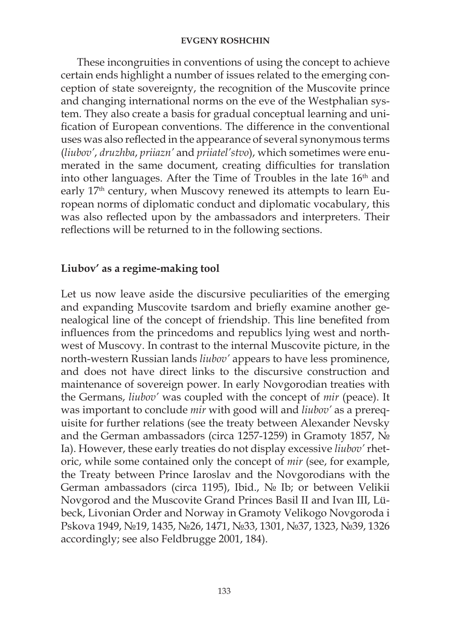These incongruities in conventions of using the concept to achieve certain ends highlight a number of issues related to the emerging conception of state sovereignty, the recognition of the Muscovite prince and changing international norms on the eve of the Westphalian system. They also create a basis for gradual conceptual learning and unification of European conventions. The difference in the conventional uses was also reflected in the appearance of several synonymous terms (*liubov'*, *druzhba*, *priiazn'* and *priiatel'stvo*), which sometimes were enumerated in the same document, creating difficulties for translation into other languages. After the Time of Troubles in the late  $16<sup>th</sup>$  and early 17<sup>th</sup> century, when Muscovy renewed its attempts to learn European norms of diplomatic conduct and diplomatic vocabulary, this was also reflected upon by the ambassadors and interpreters. Their reflections will be returned to in the following sections.

# **Liubov' as a regime-making tool**

Let us now leave aside the discursive peculiarities of the emerging and expanding Muscovite tsardom and briefly examine another genealogical line of the concept of friendship. This line benefited from influences from the princedoms and republics lying west and northwest of Muscovy. In contrast to the internal Muscovite picture, in the north-western Russian lands *liubov'* appears to have less prominence, and does not have direct links to the discursive construction and maintenance of sovereign power. In early Novgorodian treaties with the Germans, *liubov'* was coupled with the concept of *mir* (peace). It was important to conclude *mir* with good will and *liubov'* as a prerequisite for further relations (see the treaty between Alexander Nevsky and the German ambassadors (circa 1257-1259) in Gramoty 1857, № Ia). However, these early treaties do not display excessive *liubov'* rhetoric, while some contained only the concept of *mir* (see, for example, the Treaty between Prince Iaroslav and the Novgorodians with the German ambassadors (circa 1195), Ibid., № Ib; or between Velikii Novgorod and the Muscovite Grand Princes Basil II and Ivan III, Lübeck, Livonian Order and Norway in Gramoty Velikogo Novgoroda i Pskova 1949, №19, 1435, №26, 1471, №33, 1301, №37, 1323, №39, 1326 accordingly; see also Feldbrugge 2001, 184).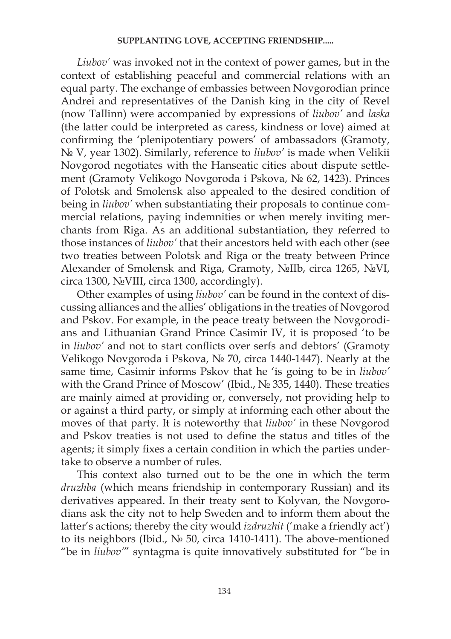*Liubov'* was invoked not in the context of power games, but in the context of establishing peaceful and commercial relations with an equal party. The exchange of embassies between Novgorodian prince Andrei and representatives of the Danish king in the city of Revel (now Tallinn) were accompanied by expressions of *liubov'* and *laska*  (the latter could be interpreted as caress, kindness or love) aimed at confirming the 'plenipotentiary powers' of ambassadors (Gramoty, № V, year 1302). Similarly, reference to *liubov'* is made when Velikii Novgorod negotiates with the Hanseatic cities about dispute settlement (Gramoty Velikogo Novgoroda i Pskova, № 62, 1423). Princes of Polotsk and Smolensk also appealed to the desired condition of being in *liubov'* when substantiating their proposals to continue commercial relations, paying indemnities or when merely inviting merchants from Riga. As an additional substantiation, they referred to those instances of *liubov'* that their ancestors held with each other (see two treaties between Polotsk and Riga or the treaty between Prince Alexander of Smolensk and Riga, Gramoty, №IIb, circa 1265, №VI, circa 1300, №VIII, circa 1300, accordingly).

Other examples of using *liubov'* can be found in the context of discussing alliances and the allies' obligations in the treaties of Novgorod and Pskov. For example, in the peace treaty between the Novgorodians and Lithuanian Grand Prince Casimir IV, it is proposed 'to be in *liubov'* and not to start conflicts over serfs and debtors' (Gramoty Velikogo Novgoroda i Pskova, № 70, circa 1440-1447). Nearly at the same time, Casimir informs Pskov that he 'is going to be in *liubov'*  with the Grand Prince of Moscow' (Ibid., № 335, 1440). These treaties are mainly aimed at providing or, conversely, not providing help to or against a third party, or simply at informing each other about the moves of that party. It is noteworthy that *liubov'* in these Novgorod and Pskov treaties is not used to define the status and titles of the agents; it simply fixes a certain condition in which the parties undertake to observe a number of rules.

This context also turned out to be the one in which the term *druzhba* (which means friendship in contemporary Russian) and its derivatives appeared. In their treaty sent to Kolyvan, the Novgorodians ask the city not to help Sweden and to inform them about the latter's actions; thereby the city would *izdruzhit* ('make a friendly act') to its neighbors (Ibid., № 50, circa 1410-1411). The above-mentioned "be in *liubov'*" syntagma is quite innovatively substituted for "be in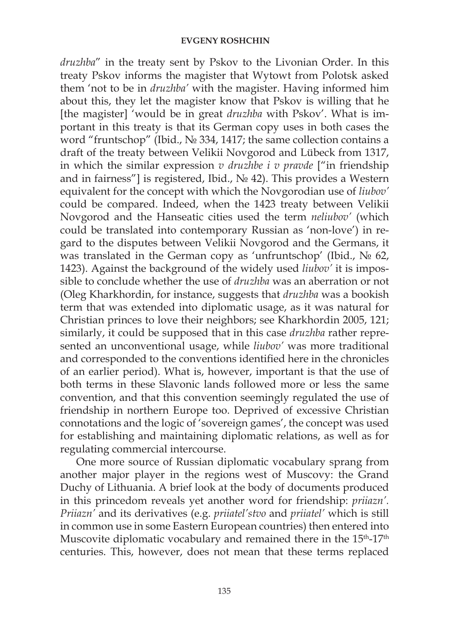*druzhba*" in the treaty sent by Pskov to the Livonian Order. In this treaty Pskov informs the magister that Wytowt from Polotsk asked them 'not to be in *druzhba'* with the magister. Having informed him about this, they let the magister know that Pskov is willing that he [the magister] 'would be in great *druzhba* with Pskov'. What is important in this treaty is that its German copy uses in both cases the word "fruntschop" (Ibid., № 334, 1417; the same collection contains a draft of the treaty between Velikii Novgorod and Lübeck from 1317, in which the similar expression *v druzhbe i v pravde* ["in friendship and in fairness"] is registered, Ibid., № 42). This provides a Western equivalent for the concept with which the Novgorodian use of *liubov'*  could be compared. Indeed, when the 1423 treaty between Velikii Novgorod and the Hanseatic cities used the term *neliubov'* (which could be translated into contemporary Russian as 'non-love') in regard to the disputes between Velikii Novgorod and the Germans, it was translated in the German copy as 'unfruntschop' (Ibid., № 62, 1423). Against the background of the widely used *liubov'* it is impossible to conclude whether the use of *druzhba* was an aberration or not (Oleg Kharkhordin, for instance, suggests that *druzhba* was a bookish term that was extended into diplomatic usage, as it was natural for Christian princes to love their neighbors; see Kharkhordin 2005, 121; similarly, it could be supposed that in this case *druzhba* rather represented an unconventional usage, while *liubov'* was more traditional and corresponded to the conventions identified here in the chronicles of an earlier period). What is, however, important is that the use of both terms in these Slavonic lands followed more or less the same convention, and that this convention seemingly regulated the use of friendship in northern Europe too. Deprived of excessive Christian connotations and the logic of 'sovereign games', the concept was used for establishing and maintaining diplomatic relations, as well as for regulating commercial intercourse.

One more source of Russian diplomatic vocabulary sprang from another major player in the regions west of Muscovy: the Grand Duchy of Lithuania. A brief look at the body of documents produced in this princedom reveals yet another word for friendship: *priiazn'. Priiazn'* and its derivatives (e.g. *priiatel'stvo* and *priiatel'* which is still in common use in some Eastern European countries) then entered into Muscovite diplomatic vocabulary and remained there in the 15<sup>th</sup>-17<sup>th</sup> centuries. This, however, does not mean that these terms replaced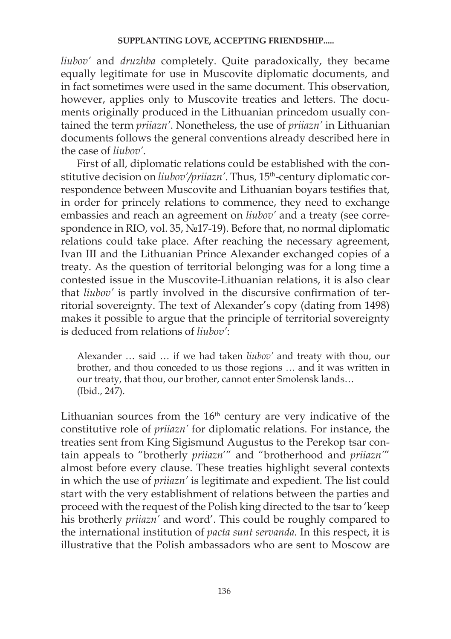*liubov'* and *druzhba* completely. Quite paradoxically, they became equally legitimate for use in Muscovite diplomatic documents, and in fact sometimes were used in the same document. This observation, however, applies only to Muscovite treaties and letters. The documents originally produced in the Lithuanian princedom usually contained the term *priiazn'*. Nonetheless, the use of *priiazn'* in Lithuanian documents follows the general conventions already described here in the case of *liubov'*.

First of all, diplomatic relations could be established with the constitutive decision on *liubov'/priiazn'*. Thus, 15<sup>th</sup>-century diplomatic correspondence between Muscovite and Lithuanian boyars testifies that, in order for princely relations to commence, they need to exchange embassies and reach an agreement on *liubov'* and a treaty (see correspondence in RIO, vol. 35, №17-19). Before that, no normal diplomatic relations could take place. After reaching the necessary agreement, Ivan III and the Lithuanian Prince Alexander exchanged copies of a treaty. As the question of territorial belonging was for a long time a contested issue in the Muscovite-Lithuanian relations, it is also clear that *liubov'* is partly involved in the discursive confirmation of territorial sovereignty. The text of Alexander's copy (dating from 1498) makes it possible to argue that the principle of territorial sovereignty is deduced from relations of *liubov'*:

Alexander … said … if we had taken *liubov'* and treaty with thou, our brother, and thou conceded to us those regions … and it was written in our treaty, that thou, our brother, cannot enter Smolensk lands… (Ibid., 247).

Lithuanian sources from the 16<sup>th</sup> century are very indicative of the constitutive role of *priiazn'* for diplomatic relations. For instance, the treaties sent from King Sigismund Augustus to the Perekop tsar contain appeals to "brotherly *priiazn*'" and "brotherhood and *priiazn'*" almost before every clause. These treaties highlight several contexts in which the use of *priiazn'* is legitimate and expedient. The list could start with the very establishment of relations between the parties and proceed with the request of the Polish king directed to the tsar to 'keep his brotherly *priiazn'* and word'. This could be roughly compared to the international institution of *pacta sunt servanda.* In this respect, it is illustrative that the Polish ambassadors who are sent to Moscow are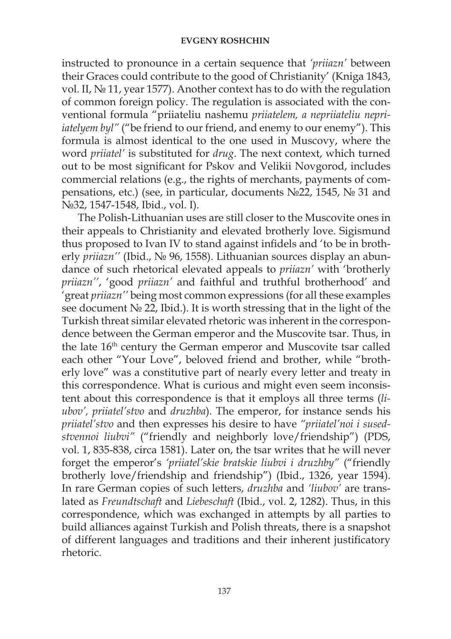instructed to pronounce in a certain sequence that *'priiazn'* between their Graces could contribute to the good of Christianity' (Kniga 1843, vol. II, № 11, year 1577). Another context has to do with the regulation of common foreign policy. The regulation is associated with the conventional formula "priiateliu nashemu *priiatelem, a nepriiateliu nepriiatelyem byl"* ("be friend to our friend, and enemy to our enemy"). This formula is almost identical to the one used in Muscovy, where the word *priiatel'* is substituted for *drug*. The next context, which turned out to be most significant for Pskov and Velikii Novgorod, includes commercial relations (e.g., the rights of merchants, payments of compensations, etc.) (see, in particular, documents №22, 1545, № 31 and №32, 1547-1548, Ibid., vol. I).

The Polish-Lithuanian uses are still closer to the Muscovite ones in their appeals to Christianity and elevated brotherly love. Sigismund thus proposed to Ivan IV to stand against infidels and 'to be in brotherly *priiazn''* (Ibid., № 96, 1558). Lithuanian sources display an abundance of such rhetorical elevated appeals to *priiazn'* with 'brotherly *priiazn''*, 'good *priiazn'* and faithful and truthful brotherhood' and 'great *priiazn''* being most common expressions (for all these examples see document № 22, Ibid.). It is worth stressing that in the light of the Turkish threat similar elevated rhetoric was inherent in the correspondence between the German emperor and the Muscovite tsar. Thus, in the late 16<sup>th</sup> century the German emperor and Muscovite tsar called each other "Your Love", beloved friend and brother, while "brotherly love" was a constitutive part of nearly every letter and treaty in this correspondence. What is curious and might even seem inconsistent about this correspondence is that it employs all three terms (*liubov', priiatel'stvo* and *druzhba*). The emperor, for instance sends his *priiatel'stvo* and then expresses his desire to have *"priiatel'noi i susedstvennoi liubvi"* ("friendly and neighborly love/friendship") (PDS, vol. 1, 835-838, circa 1581). Later on, the tsar writes that he will never forget the emperor's *'priiatel'skie bratskie liubvi i druzhby"* ("friendly brotherly love/friendship and friendship") (Ibid., 1326, year 1594). In rare German copies of such letters, *druzhba* and *'liubov'* are translated as *Freundtschaft* and *Liebeschaft* (Ibid., vol. 2, 1282). Thus, in this correspondence, which was exchanged in attempts by all parties to build alliances against Turkish and Polish threats, there is a snapshot of different languages and traditions and their inherent justificatory rhetoric.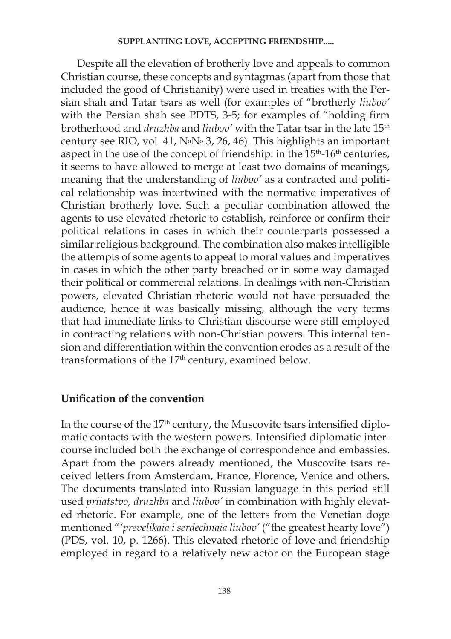#### **SUPPLANTING LOVE, ACCEPTING FRIENDSHIP.....**

Despite all the elevation of brotherly love and appeals to common Christian course, these concepts and syntagmas (apart from those that included the good of Christianity) were used in treaties with the Persian shah and Tatar tsars as well (for examples of "brotherly *liubov'*  with the Persian shah see PDTS, 3-5; for examples of "holding firm brotherhood and *druzhba* and *liubov'* with the Tatar tsar in the late 15<sup>th</sup> century see RIO, vol. 41, №№ 3, 26, 46). This highlights an important aspect in the use of the concept of friendship: in the 15<sup>th</sup>-16<sup>th</sup> centuries, it seems to have allowed to merge at least two domains of meanings, meaning that the understanding of *liubov'* as a contracted and political relationship was intertwined with the normative imperatives of Christian brotherly love. Such a peculiar combination allowed the agents to use elevated rhetoric to establish, reinforce or confirm their political relations in cases in which their counterparts possessed a similar religious background. The combination also makes intelligible the attempts of some agents to appeal to moral values and imperatives in cases in which the other party breached or in some way damaged their political or commercial relations. In dealings with non-Christian powers, elevated Christian rhetoric would not have persuaded the audience, hence it was basically missing, although the very terms that had immediate links to Christian discourse were still employed in contracting relations with non-Christian powers. This internal tension and differentiation within the convention erodes as a result of the transformations of the 17<sup>th</sup> century, examined below.

## **Unification of the convention**

In the course of the 17<sup>th</sup> century, the Muscovite tsars intensified diplomatic contacts with the western powers. Intensified diplomatic intercourse included both the exchange of correspondence and embassies. Apart from the powers already mentioned, the Muscovite tsars received letters from Amsterdam, France, Florence, Venice and others. The documents translated into Russian language in this period still used *priiatstvo, druzhba* and *liubov'* in combination with highly elevated rhetoric. For example, one of the letters from the Venetian doge mentioned "*'prevelikaia i serdechnaia liubov'* ("the greatest hearty love") (PDS, vol. 10, p. 1266). This elevated rhetoric of love and friendship employed in regard to a relatively new actor on the European stage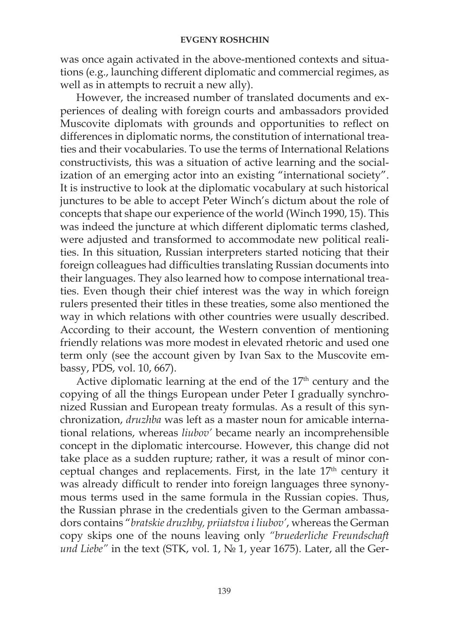was once again activated in the above-mentioned contexts and situations (e.g., launching different diplomatic and commercial regimes, as well as in attempts to recruit a new ally).

However, the increased number of translated documents and experiences of dealing with foreign courts and ambassadors provided Muscovite diplomats with grounds and opportunities to reflect on differences in diplomatic norms, the constitution of international treaties and their vocabularies. To use the terms of International Relations constructivists, this was a situation of active learning and the socialization of an emerging actor into an existing "international society". It is instructive to look at the diplomatic vocabulary at such historical junctures to be able to accept Peter Winch's dictum about the role of concepts that shape our experience of the world (Winch 1990, 15). This was indeed the juncture at which different diplomatic terms clashed, were adjusted and transformed to accommodate new political realities. In this situation, Russian interpreters started noticing that their foreign colleagues had difficulties translating Russian documents into their languages. They also learned how to compose international treaties. Even though their chief interest was the way in which foreign rulers presented their titles in these treaties, some also mentioned the way in which relations with other countries were usually described. According to their account, the Western convention of mentioning friendly relations was more modest in elevated rhetoric and used one term only (see the account given by Ivan Sax to the Muscovite embassy, PDS, vol. 10, 667).

Active diplomatic learning at the end of the  $17<sup>th</sup>$  century and the copying of all the things European under Peter I gradually synchronized Russian and European treaty formulas. As a result of this synchronization, *druzhba* was left as a master noun for amicable international relations, whereas *liubov'* became nearly an incomprehensible concept in the diplomatic intercourse. However, this change did not take place as a sudden rupture; rather, it was a result of minor conceptual changes and replacements. First, in the late  $17<sup>th</sup>$  century it was already difficult to render into foreign languages three synonymous terms used in the same formula in the Russian copies. Thus, the Russian phrase in the credentials given to the German ambassadors contains "*bratskie druzhby, priiatstva i liubov'*, whereas the German copy skips one of the nouns leaving only *"bruederliche Freundschaft und Liebe"* in the text (STK, vol. 1, № 1, year 1675). Later, all the Ger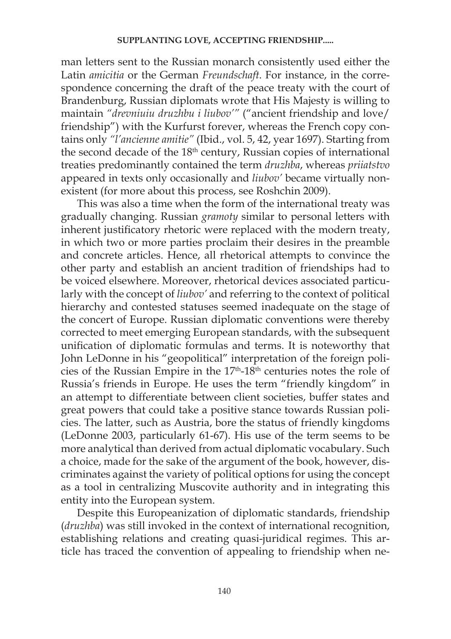man letters sent to the Russian monarch consistently used either the Latin *amicitia* or the German *Freundschaft*. For instance, in the correspondence concerning the draft of the peace treaty with the court of Brandenburg, Russian diplomats wrote that His Majesty is willing to maintain *"drevniuiu druzhbu i liubov'"* ("ancient friendship and love/ friendship") with the Kurfurst forever, whereas the French copy contains only *"l'ancienne amitie"* (Ibid., vol. 5, 42, year 1697). Starting from the second decade of the 18<sup>th</sup> century, Russian copies of international treaties predominantly contained the term *druzhba*, whereas *priiatstvo*  appeared in texts only occasionally and *liubov'* became virtually nonexistent (for more about this process, see Roshchin 2009).

This was also a time when the form of the international treaty was gradually changing. Russian *gramoty* similar to personal letters with inherent justificatory rhetoric were replaced with the modern treaty, in which two or more parties proclaim their desires in the preamble and concrete articles. Hence, all rhetorical attempts to convince the other party and establish an ancient tradition of friendships had to be voiced elsewhere. Moreover, rhetorical devices associated particularly with the concept of *liubov'* and referring to the context of political hierarchy and contested statuses seemed inadequate on the stage of the concert of Europe. Russian diplomatic conventions were thereby corrected to meet emerging European standards, with the subsequent unification of diplomatic formulas and terms. It is noteworthy that John LeDonne in his "geopolitical" interpretation of the foreign policies of the Russian Empire in the 17<sup>th</sup>-18<sup>th</sup> centuries notes the role of Russia's friends in Europe. He uses the term "friendly kingdom" in an attempt to differentiate between client societies, buffer states and great powers that could take a positive stance towards Russian policies. The latter, such as Austria, bore the status of friendly kingdoms (LeDonne 2003, particularly 61-67). His use of the term seems to be more analytical than derived from actual diplomatic vocabulary. Such a choice, made for the sake of the argument of the book, however, discriminates against the variety of political options for using the concept as a tool in centralizing Muscovite authority and in integrating this entity into the European system.

Despite this Europeanization of diplomatic standards, friendship (*druzhba*) was still invoked in the context of international recognition, establishing relations and creating quasi-juridical regimes. This article has traced the convention of appealing to friendship when ne-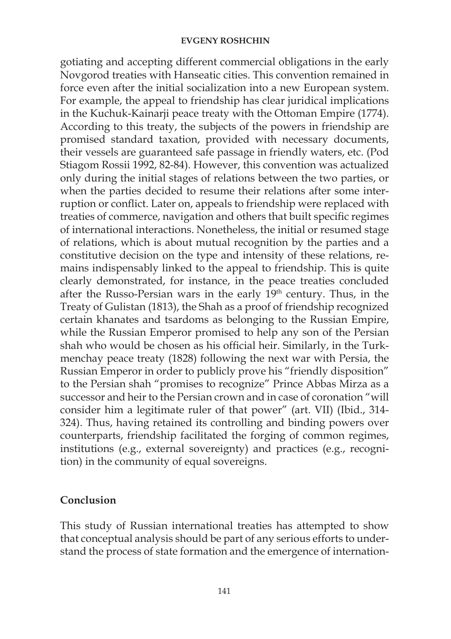gotiating and accepting different commercial obligations in the early Novgorod treaties with Hanseatic cities. This convention remained in force even after the initial socialization into a new European system. For example, the appeal to friendship has clear juridical implications in the Kuchuk-Kainarji peace treaty with the Ottoman Empire (1774). According to this treaty, the subjects of the powers in friendship are promised standard taxation, provided with necessary documents, their vessels are guaranteed safe passage in friendly waters, etc. (Pod Stiagom Rossii 1992, 82-84). However, this convention was actualized only during the initial stages of relations between the two parties, or when the parties decided to resume their relations after some interruption or conflict. Later on, appeals to friendship were replaced with treaties of commerce, navigation and others that built specific regimes of international interactions. Nonetheless, the initial or resumed stage of relations, which is about mutual recognition by the parties and a constitutive decision on the type and intensity of these relations, remains indispensably linked to the appeal to friendship. This is quite clearly demonstrated, for instance, in the peace treaties concluded after the Russo-Persian wars in the early 19<sup>th</sup> century. Thus, in the Treaty of Gulistan (1813), the Shah as a proof of friendship recognized certain khanates and tsardoms as belonging to the Russian Empire, while the Russian Emperor promised to help any son of the Persian shah who would be chosen as his official heir. Similarly, in the Turkmenchay peace treaty (1828) following the next war with Persia, the Russian Emperor in order to publicly prove his "friendly disposition" to the Persian shah "promises to recognize" Prince Abbas Mirza as a successor and heir to the Persian crown and in case of coronation "will consider him a legitimate ruler of that power" (art. VII) (Ibid., 314- 324). Thus, having retained its controlling and binding powers over counterparts, friendship facilitated the forging of common regimes, institutions (e.g., external sovereignty) and practices (e.g., recognition) in the community of equal sovereigns.

# **Conclusion**

This study of Russian international treaties has attempted to show that conceptual analysis should be part of any serious efforts to understand the process of state formation and the emergence of internation-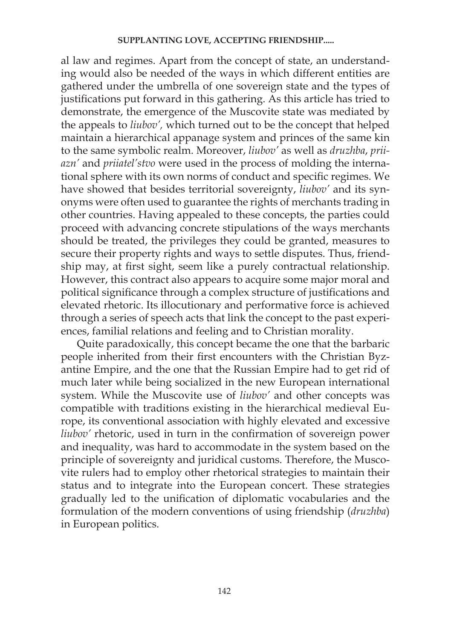al law and regimes. Apart from the concept of state, an understanding would also be needed of the ways in which different entities are gathered under the umbrella of one sovereign state and the types of justifications put forward in this gathering. As this article has tried to demonstrate, the emergence of the Muscovite state was mediated by the appeals to *liubov',* which turned out to be the concept that helped maintain a hierarchical appanage system and princes of the same kin to the same symbolic realm. Moreover, *liubov'* as well as *druzhba*, *priiazn'* and *priiatel'stvo* were used in the process of molding the international sphere with its own norms of conduct and specific regimes. We have showed that besides territorial sovereignty, *liubov'* and its synonyms were often used to guarantee the rights of merchants trading in other countries. Having appealed to these concepts, the parties could proceed with advancing concrete stipulations of the ways merchants should be treated, the privileges they could be granted, measures to secure their property rights and ways to settle disputes. Thus, friendship may, at first sight, seem like a purely contractual relationship. However, this contract also appears to acquire some major moral and political significance through a complex structure of justifications and elevated rhetoric. Its illocutionary and performative force is achieved through a series of speech acts that link the concept to the past experiences, familial relations and feeling and to Christian morality.

Quite paradoxically, this concept became the one that the barbaric people inherited from their first encounters with the Christian Byzantine Empire, and the one that the Russian Empire had to get rid of much later while being socialized in the new European international system. While the Muscovite use of *liubov'* and other concepts was compatible with traditions existing in the hierarchical medieval Europe, its conventional association with highly elevated and excessive *liubov'* rhetoric, used in turn in the confirmation of sovereign power and inequality, was hard to accommodate in the system based on the principle of sovereignty and juridical customs. Therefore, the Muscovite rulers had to employ other rhetorical strategies to maintain their status and to integrate into the European concert. These strategies gradually led to the unification of diplomatic vocabularies and the formulation of the modern conventions of using friendship (*druzhba*) in European politics.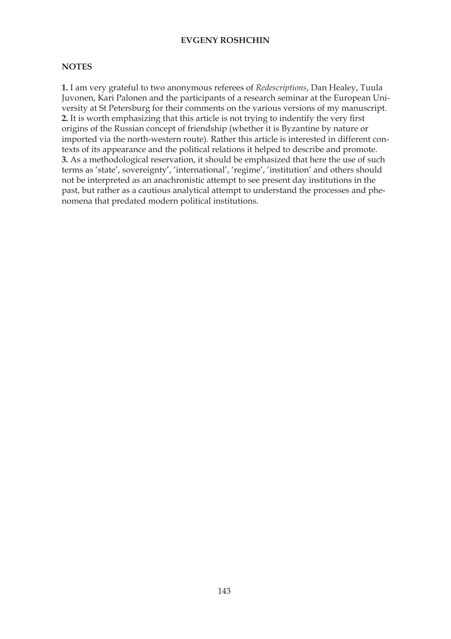#### **NOTES**

**1.** I am very grateful to two anonymous referees of *Redescriptions*, Dan Healey, Tuula Juvonen, Kari Palonen and the participants of a research seminar at the European University at St Petersburg for their comments on the various versions of my manuscript. **2.** It is worth emphasizing that this article is not trying to indentify the very first origins of the Russian concept of friendship (whether it is Byzantine by nature or imported via the north-western route). Rather this article is interested in different contexts of its appearance and the political relations it helped to describe and promote. **3.** As a methodological reservation, it should be emphasized that here the use of such terms as 'state', sovereignty', 'international', 'regime', 'institution' and others should not be interpreted as an anachronistic attempt to see present day institutions in the past, but rather as a cautious analytical attempt to understand the processes and phenomena that predated modern political institutions.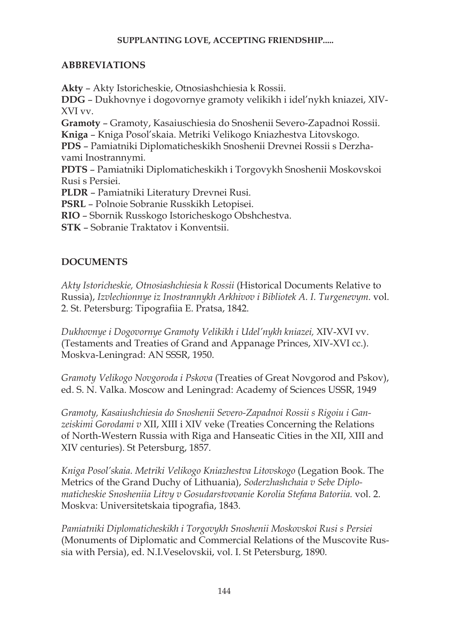## **SUPPLANTING LOVE, ACCEPTING FRIENDSHIP.....**

## **ABBREVIATIONS**

**Akty** – Akty Istoricheskie, Otnosiashchiesia k Rossii. **DDG** – Dukhovnye i dogovornye gramoty velikikh i idel'nykh kniazei, XIV-XVI vv. **Gramoty** – Gramoty, Kasaiuschiesia do Snoshenii Severo-Zapadnoi Rossii. **Kniga** – Kniga Posol'skaia. Metriki Velikogo Kniazhestva Litovskogo. **PDS** – Pamiatniki Diplomaticheskikh Snoshenii Drevnei Rossii s Derzhavami Inostrannymi. **PDTS** – Pamiatniki Diplomaticheskikh i Torgovykh Snoshenii Moskovskoi Rusi s Persiei. **PLDR** – Pamiatniki Literatury Drevnei Rusi. **PSRL** – Polnoie Sobranie Russkikh Letopisei. **RIO** – Sbornik Russkogo Istoricheskogo Obshchestva.

**STK** – Sobranie Traktatov i Konventsii.

## **DOCUMENTS**

*Akty Istoricheskie, Otnosiashchiesia k Rossii* (Historical Documents Relative to Russia), *Izvlechionnye iz Inostrannykh Arkhivov i Bibliotek A. I. Turgenevym.* vol. 2. St. Petersburg: Tipografiia E. Pratsa, 1842.

*Dukhovnye i Dogovornye Gramoty Velikikh i Udel'nykh kniazei,* XIV-XVI vv. (Testaments and Treaties of Grand and Appanage Princes, XIV-XVI cc.). Moskva-Leningrad: AN SSSR, 1950.

*Gramoty Velikogo Novgoroda i Pskova* (Treaties of Great Novgorod and Pskov), ed. S. N. Valka. Moscow and Leningrad: Academy of Sciences USSR, 1949

*Gramoty, Kasaiushchiesia do Snoshenii Severo-Zapadnoi Rossii s Rigoiu i Ganzeiskimi Gorodami v* XII, XIII i XIV veke (Treaties Concerning the Relations of North-Western Russia with Riga and Hanseatic Cities in the XII, XIII and XIV centuries). St Petersburg, 1857.

*Kniga Posol'skaia. Metriki Velikogo Kniazhestva Litovskogo* (Legation Book. The Metrics of the Grand Duchy of Lithuania), *Soderzhashchaia v Sebe Diplomaticheskie Snosheniia Litvy v Gosudarstvovanie Korolia Stefana Batoriia.* vol. 2. Moskva: Universitetskaia tipografia, 1843.

*Pamiatniki Diplomaticheskikh i Torgovykh Snoshenii Moskovskoi Rusi s Persiei* (Monuments of Diplomatic and Commercial Relations of the Muscovite Russia with Persia), ed. N.I.Veselovskii, vol. I. St Petersburg, 1890.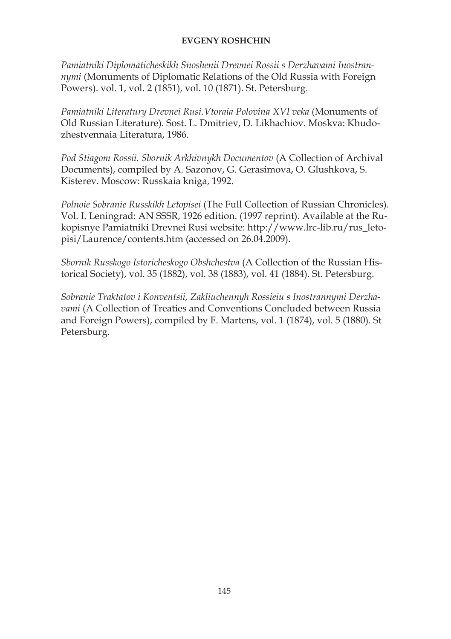*Pamiatniki Diplomaticheskikh Snoshenii Drevnei Rossii s Derzhavami Inostrannymi* (Monuments of Diplomatic Relations of the Old Russia with Foreign Powers). vol. 1, vol. 2 (1851), vol. 10 (1871). St. Petersburg.

*Pamiatniki Literatury Drevnei Rusi.Vtoraia Polovina XVI veka* (Monuments of Old Russian Literature). Sost. L. Dmitriev, D. Likhachiov. Moskva: Khudozhestvennaia Literatura, 1986.

*Pod Stiagom Rossii. Sbornik Arkhivnykh Documentov* (A Collection of Archival Documents), compiled by A. Sazonov, G. Gerasimova, O. Glushkova, S. Kisterev. Moscow: Russkaia kniga, 1992.

*Polnoie Sobranie Russkikh Letopisei* (The Full Collection of Russian Chronicles). Vol. I. Leningrad: AN SSSR, 1926 edition. (1997 reprint). Available at the Rukopisnye Pamiatniki Drevnei Rusi website: http://www.lrc-lib.ru/rus\_letopisi/Laurence/contents.htm (accessed on 26.04.2009).

*Sbornik Russkogo Istoricheskogo Obshchestva* (A Collection of the Russian Historical Society), vol. 35 (1882), vol. 38 (1883), vol. 41 (1884). St. Petersburg.

*Sobranie Traktatov i Konventsii, Zakliuchennyh Rossieiu s Inostrannymi Derzhavami* (A Collection of Treaties and Conventions Concluded between Russia and Foreign Powers), compiled by F. Martens, vol. 1 (1874), vol. 5 (1880). St Petersburg.